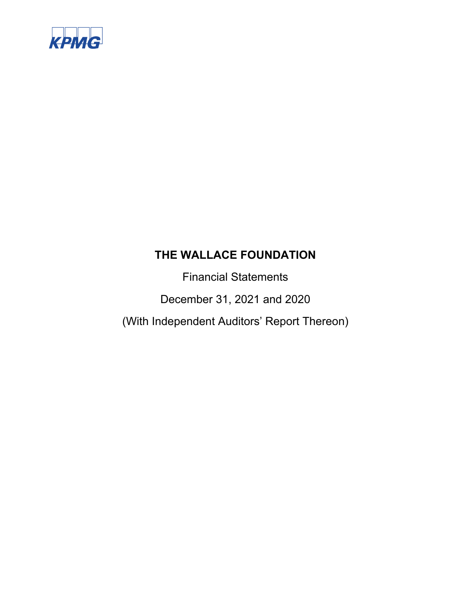

Financial Statements December 31, 2021 and 2020

(With Independent Auditors' Report Thereon)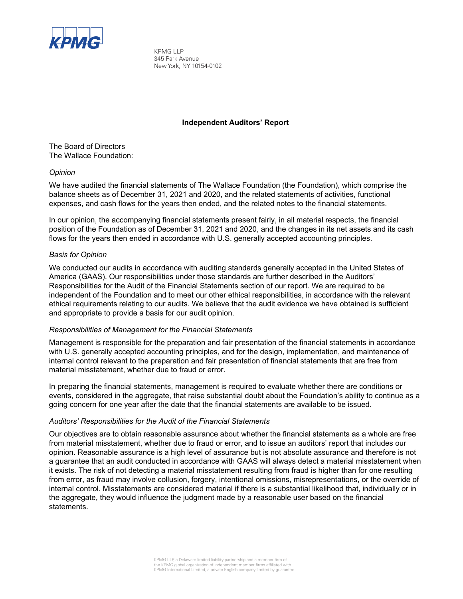

KPMG LLP 345 Park Avenue New York, NY 10154-0102

## **Independent Auditors' Report**

The Board of Directors The Wallace Foundation:

## *Opinion*

We have audited the financial statements of The Wallace Foundation (the Foundation), which comprise the balance sheets as of December 31, 2021 and 2020, and the related statements of activities, functional expenses, and cash flows for the years then ended, and the related notes to the financial statements.

In our opinion, the accompanying financial statements present fairly, in all material respects, the financial position of the Foundation as of December 31, 2021 and 2020, and the changes in its net assets and its cash flows for the years then ended in accordance with U.S. generally accepted accounting principles.

## *Basis for Opinion*

We conducted our audits in accordance with auditing standards generally accepted in the United States of America (GAAS). Our responsibilities under those standards are further described in the Auditors' Responsibilities for the Audit of the Financial Statements section of our report. We are required to be independent of the Foundation and to meet our other ethical responsibilities, in accordance with the relevant ethical requirements relating to our audits. We believe that the audit evidence we have obtained is sufficient and appropriate to provide a basis for our audit opinion.

#### *Responsibilities of Management for the Financial Statements*

Management is responsible for the preparation and fair presentation of the financial statements in accordance with U.S. generally accepted accounting principles, and for the design, implementation, and maintenance of internal control relevant to the preparation and fair presentation of financial statements that are free from material misstatement, whether due to fraud or error.

In preparing the financial statements, management is required to evaluate whether there are conditions or events, considered in the aggregate, that raise substantial doubt about the Foundation's ability to continue as a going concern for one year after the date that the financial statements are available to be issued.

#### *Auditors' Responsibilities for the Audit of the Financial Statements*

Our objectives are to obtain reasonable assurance about whether the financial statements as a whole are free from material misstatement, whether due to fraud or error, and to issue an auditors' report that includes our opinion. Reasonable assurance is a high level of assurance but is not absolute assurance and therefore is not a guarantee that an audit conducted in accordance with GAAS will always detect a material misstatement when it exists. The risk of not detecting a material misstatement resulting from fraud is higher than for one resulting from error, as fraud may involve collusion, forgery, intentional omissions, misrepresentations, or the override of internal control. Misstatements are considered material if there is a substantial likelihood that, individually or in the aggregate, they would influence the judgment made by a reasonable user based on the financial statements.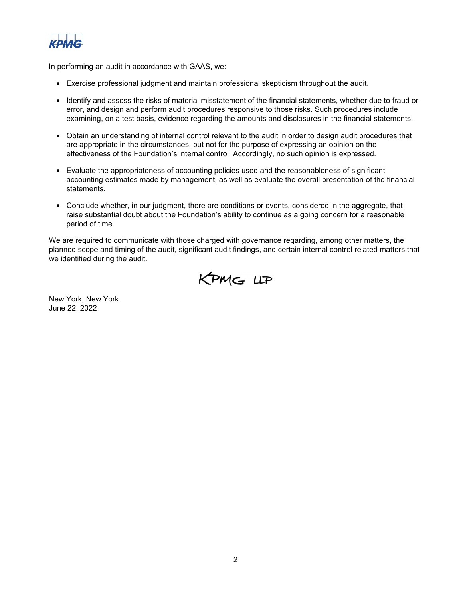

In performing an audit in accordance with GAAS, we:

- Exercise professional judgment and maintain professional skepticism throughout the audit.
- Identify and assess the risks of material misstatement of the financial statements, whether due to fraud or error, and design and perform audit procedures responsive to those risks. Such procedures include examining, on a test basis, evidence regarding the amounts and disclosures in the financial statements.
- Obtain an understanding of internal control relevant to the audit in order to design audit procedures that are appropriate in the circumstances, but not for the purpose of expressing an opinion on the effectiveness of the Foundation's internal control. Accordingly, no such opinion is expressed.
- Evaluate the appropriateness of accounting policies used and the reasonableness of significant accounting estimates made by management, as well as evaluate the overall presentation of the financial statements.
- Conclude whether, in our judgment, there are conditions or events, considered in the aggregate, that raise substantial doubt about the Foundation's ability to continue as a going concern for a reasonable period of time.

We are required to communicate with those charged with governance regarding, among other matters, the planned scope and timing of the audit, significant audit findings, and certain internal control related matters that we identified during the audit.



New York, New York June 22, 2022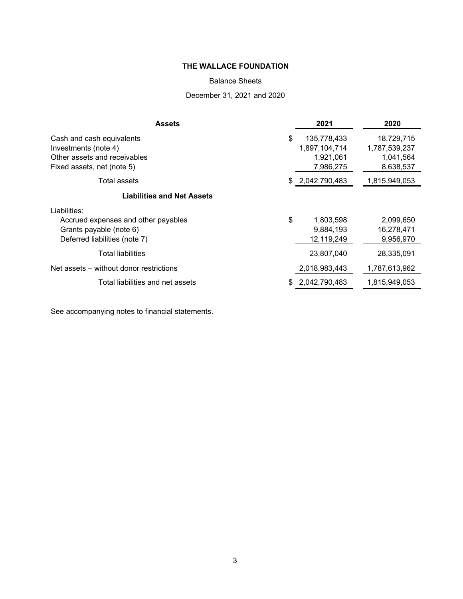# Balance Sheets

December 31, 2021 and 2020

| <b>Assets</b>                                                                                                   |    | 2021                                                   | 2020                                                  |
|-----------------------------------------------------------------------------------------------------------------|----|--------------------------------------------------------|-------------------------------------------------------|
| Cash and cash equivalents<br>Investments (note 4)<br>Other assets and receivables<br>Fixed assets, net (note 5) | \$ | 135,778,433<br>1,897,104,714<br>1,921,061<br>7,986,275 | 18,729,715<br>1,787,539,237<br>1,041,564<br>8,638,537 |
| Total assets                                                                                                    | \$ | 2,042,790,483                                          | 1,815,949,053                                         |
| <b>Liabilities and Net Assets</b>                                                                               |    |                                                        |                                                       |
| Liabilities:                                                                                                    |    |                                                        |                                                       |
| Accrued expenses and other payables                                                                             | \$ | 1,803,598                                              | 2,099,650                                             |
| Grants payable (note 6)                                                                                         |    | 9,884,193                                              | 16,278,471                                            |
| Deferred liabilities (note 7)                                                                                   |    | 12,119,249                                             | 9,956,970                                             |
| Total liabilities                                                                                               |    | 23,807,040                                             | 28,335,091                                            |
| Net assets - without donor restrictions                                                                         |    | 2,018,983,443                                          | 1,787,613,962                                         |
| Total liabilities and net assets                                                                                | S. | 2,042,790,483                                          | 1,815,949,053                                         |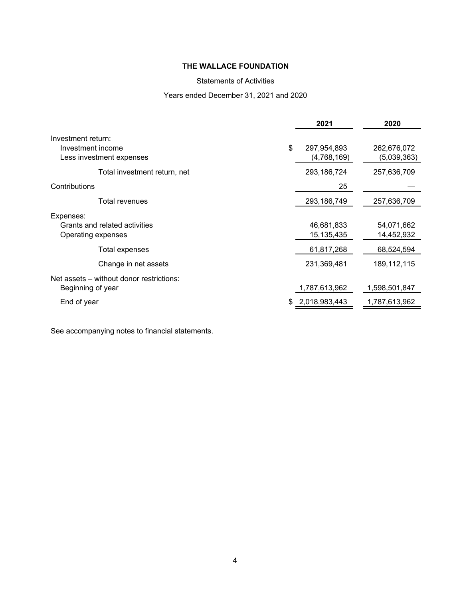# Statements of Activities

# Years ended December 31, 2021 and 2020

|                                                                     | 2021                             | 2020                       |
|---------------------------------------------------------------------|----------------------------------|----------------------------|
| Investment return:<br>Investment income<br>Less investment expenses | \$<br>297,954,893<br>(4,768,169) | 262,676,072<br>(5,039,363) |
| Total investment return, net                                        | 293,186,724                      | 257,636,709                |
| Contributions                                                       | 25                               |                            |
| Total revenues                                                      | 293, 186, 749                    | 257,636,709                |
| Expenses:<br>Grants and related activities<br>Operating expenses    | 46,681,833<br>15, 135, 435       | 54,071,662<br>14,452,932   |
| Total expenses                                                      | 61,817,268                       | 68,524,594                 |
| Change in net assets                                                | 231,369,481                      | 189,112,115                |
| Net assets – without donor restrictions:<br>Beginning of year       | 1,787,613,962                    | 1,598,501,847              |
| End of year                                                         | \$<br>2,018,983,443              | 1,787,613,962              |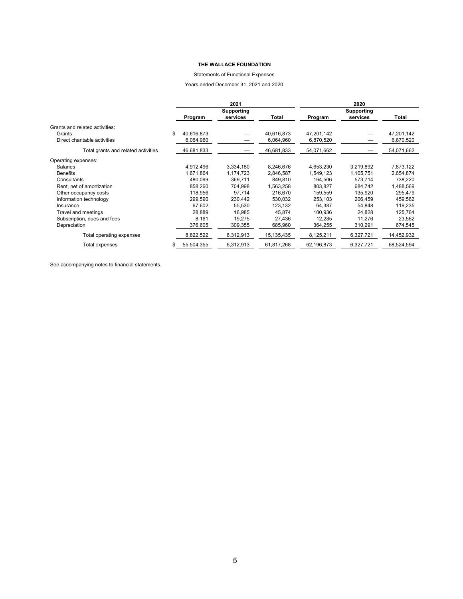#### Statements of Functional Expenses

Years ended December 31, 2021 and 2020

|                                     |                  | 2021       |            |            | 2020       |            |  |
|-------------------------------------|------------------|------------|------------|------------|------------|------------|--|
|                                     |                  | Supporting |            |            | Supporting |            |  |
|                                     | Program          | services   | Total      | Program    | services   | Total      |  |
| Grants and related activities:      |                  |            |            |            |            |            |  |
| Grants                              | \$<br>40,616,873 |            | 40.616.873 | 47,201,142 |            | 47,201,142 |  |
| Direct charitable activities        | 6,064,960        |            | 6,064,960  | 6,870,520  |            | 6,870,520  |  |
| Total grants and related activities | 46,681,833       |            | 46,681,833 | 54,071,662 |            | 54,071,662 |  |
| Operating expenses:                 |                  |            |            |            |            |            |  |
| <b>Salaries</b>                     | 4,912,496        | 3,334,180  | 8,246,676  | 4,653,230  | 3,219,892  | 7,873,122  |  |
| <b>Benefits</b>                     | 1.671.864        | 1,174,723  | 2,846,587  | 1,549,123  | 1,105,751  | 2,654,874  |  |
| Consultants                         | 480.099          | 369,711    | 849,810    | 164,506    | 573,714    | 738,220    |  |
| Rent, net of amortization           | 858,260          | 704,998    | 1,563,258  | 803,827    | 684,742    | 1,488,569  |  |
| Other occupancy costs               | 118,956          | 97,714     | 216,670    | 159,559    | 135,920    | 295,479    |  |
| Information technology              | 299,590          | 230,442    | 530.032    | 253,103    | 206,459    | 459,562    |  |
| Insurance                           | 67,602           | 55,530     | 123,132    | 64,387     | 54,848     | 119,235    |  |
| Travel and meetings                 | 28.889           | 16,985     | 45.874     | 100,936    | 24,828     | 125,764    |  |
| Subscription, dues and fees         | 8,161            | 19,275     | 27,436     | 12,285     | 11,276     | 23,562     |  |
| Depreciation                        | 376,605          | 309,355    | 685,960    | 364,255    | 310,291    | 674,545    |  |
| Total operating expenses            | 8,822,522        | 6,312,913  | 15,135,435 | 8,125,211  | 6,327,721  | 14,452,932 |  |
| Total expenses                      | 55,504,355       | 6,312,913  | 61,817,268 | 62,196,873 | 6,327,721  | 68,524,594 |  |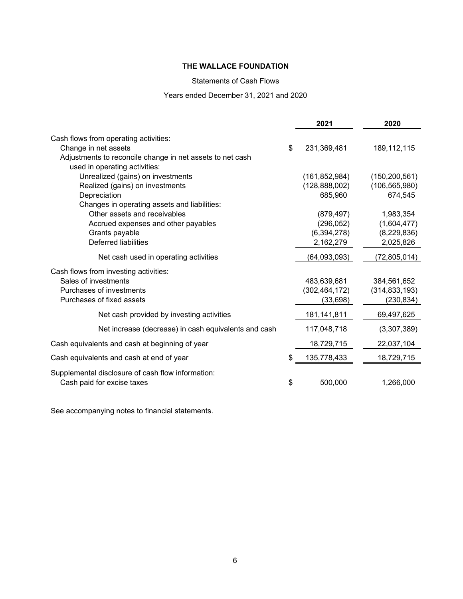# Statements of Cash Flows

# Years ended December 31, 2021 and 2020

|                                                           | 2021              | 2020            |
|-----------------------------------------------------------|-------------------|-----------------|
| Cash flows from operating activities:                     |                   |                 |
| Change in net assets                                      | \$<br>231,369,481 | 189, 112, 115   |
| Adjustments to reconcile change in net assets to net cash |                   |                 |
| used in operating activities:                             |                   |                 |
| Unrealized (gains) on investments                         | (161, 852, 984)   | (150, 200, 561) |
| Realized (gains) on investments                           | (128, 888, 002)   | (106, 565, 980) |
| Depreciation                                              | 685,960           | 674,545         |
| Changes in operating assets and liabilities:              |                   |                 |
| Other assets and receivables                              | (879, 497)        | 1,983,354       |
| Accrued expenses and other payables                       | (296, 052)        | (1,604,477)     |
| Grants payable                                            | (6,394,278)       | (8,229,836)     |
| Deferred liabilities                                      | 2,162,279         | 2,025,826       |
| Net cash used in operating activities                     | (64,093,093)      | (72,805,014)    |
| Cash flows from investing activities:                     |                   |                 |
| Sales of investments                                      | 483,639,681       | 384,561,652     |
| Purchases of investments                                  | (302, 464, 172)   | (314, 833, 193) |
| Purchases of fixed assets                                 | (33, 698)         | (230, 834)      |
| Net cash provided by investing activities                 | 181, 141, 811     | 69,497,625      |
| Net increase (decrease) in cash equivalents and cash      | 117,048,718       | (3,307,389)     |
|                                                           |                   |                 |
| Cash equivalents and cash at beginning of year            | 18,729,715        | 22,037,104      |
| Cash equivalents and cash at end of year                  | \$<br>135,778,433 | 18,729,715      |
| Supplemental disclosure of cash flow information:         |                   |                 |
| Cash paid for excise taxes                                | \$<br>500,000     | 1,266,000       |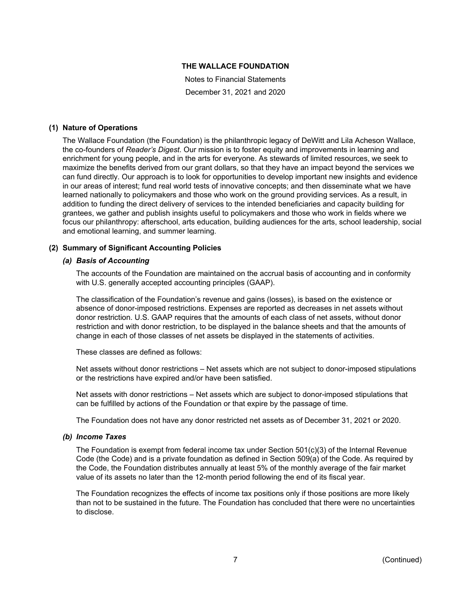Notes to Financial Statements December 31, 2021 and 2020

#### **(1) Nature of Operations**

The Wallace Foundation (the Foundation) is the philanthropic legacy of DeWitt and Lila Acheson Wallace, the co-founders of *Reader's Digest*. Our mission is to foster equity and improvements in learning and enrichment for young people, and in the arts for everyone. As stewards of limited resources, we seek to maximize the benefits derived from our grant dollars, so that they have an impact beyond the services we can fund directly. Our approach is to look for opportunities to develop important new insights and evidence in our areas of interest; fund real world tests of innovative concepts; and then disseminate what we have learned nationally to policymakers and those who work on the ground providing services. As a result, in addition to funding the direct delivery of services to the intended beneficiaries and capacity building for grantees, we gather and publish insights useful to policymakers and those who work in fields where we focus our philanthropy: afterschool, arts education, building audiences for the arts, school leadership, social and emotional learning, and summer learning.

#### **(2) Summary of Significant Accounting Policies**

#### *(a) Basis of Accounting*

The accounts of the Foundation are maintained on the accrual basis of accounting and in conformity with U.S. generally accepted accounting principles (GAAP).

The classification of the Foundation's revenue and gains (losses), is based on the existence or absence of donor-imposed restrictions. Expenses are reported as decreases in net assets without donor restriction. U.S. GAAP requires that the amounts of each class of net assets, without donor restriction and with donor restriction, to be displayed in the balance sheets and that the amounts of change in each of those classes of net assets be displayed in the statements of activities.

These classes are defined as follows:

Net assets without donor restrictions – Net assets which are not subject to donor-imposed stipulations or the restrictions have expired and/or have been satisfied.

Net assets with donor restrictions – Net assets which are subject to donor-imposed stipulations that can be fulfilled by actions of the Foundation or that expire by the passage of time.

The Foundation does not have any donor restricted net assets as of December 31, 2021 or 2020.

#### *(b) Income Taxes*

The Foundation is exempt from federal income tax under Section 501(c)(3) of the Internal Revenue Code (the Code) and is a private foundation as defined in Section 509(a) of the Code. As required by the Code, the Foundation distributes annually at least 5% of the monthly average of the fair market value of its assets no later than the 12-month period following the end of its fiscal year.

The Foundation recognizes the effects of income tax positions only if those positions are more likely than not to be sustained in the future. The Foundation has concluded that there were no uncertainties to disclose.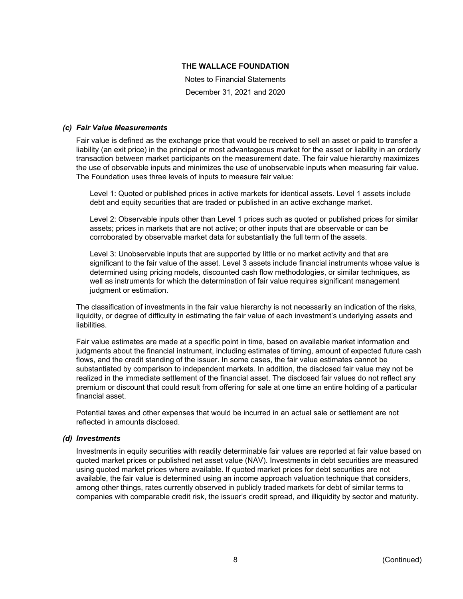Notes to Financial Statements December 31, 2021 and 2020

#### *(c) Fair Value Measurements*

Fair value is defined as the exchange price that would be received to sell an asset or paid to transfer a liability (an exit price) in the principal or most advantageous market for the asset or liability in an orderly transaction between market participants on the measurement date. The fair value hierarchy maximizes the use of observable inputs and minimizes the use of unobservable inputs when measuring fair value. The Foundation uses three levels of inputs to measure fair value:

Level 1: Quoted or published prices in active markets for identical assets. Level 1 assets include debt and equity securities that are traded or published in an active exchange market.

Level 2: Observable inputs other than Level 1 prices such as quoted or published prices for similar assets; prices in markets that are not active; or other inputs that are observable or can be corroborated by observable market data for substantially the full term of the assets.

Level 3: Unobservable inputs that are supported by little or no market activity and that are significant to the fair value of the asset. Level 3 assets include financial instruments whose value is determined using pricing models, discounted cash flow methodologies, or similar techniques, as well as instruments for which the determination of fair value requires significant management judgment or estimation.

The classification of investments in the fair value hierarchy is not necessarily an indication of the risks, liquidity, or degree of difficulty in estimating the fair value of each investment's underlying assets and liabilities.

Fair value estimates are made at a specific point in time, based on available market information and judgments about the financial instrument, including estimates of timing, amount of expected future cash flows, and the credit standing of the issuer. In some cases, the fair value estimates cannot be substantiated by comparison to independent markets. In addition, the disclosed fair value may not be realized in the immediate settlement of the financial asset. The disclosed fair values do not reflect any premium or discount that could result from offering for sale at one time an entire holding of a particular financial asset.

Potential taxes and other expenses that would be incurred in an actual sale or settlement are not reflected in amounts disclosed.

#### *(d) Investments*

Investments in equity securities with readily determinable fair values are reported at fair value based on quoted market prices or published net asset value (NAV). Investments in debt securities are measured using quoted market prices where available. If quoted market prices for debt securities are not available, the fair value is determined using an income approach valuation technique that considers, among other things, rates currently observed in publicly traded markets for debt of similar terms to companies with comparable credit risk, the issuer's credit spread, and illiquidity by sector and maturity.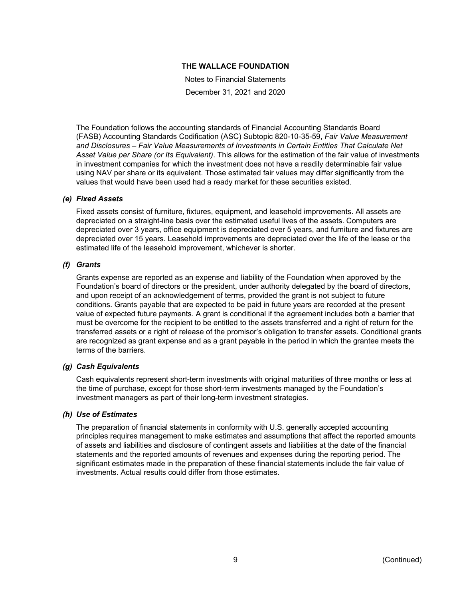Notes to Financial Statements December 31, 2021 and 2020

The Foundation follows the accounting standards of Financial Accounting Standards Board (FASB) Accounting Standards Codification (ASC) Subtopic 820-10-35-59, *Fair Value Measurement and Disclosures – Fair Value Measurements of Investments in Certain Entities That Calculate Net Asset Value per Share (or Its Equivalent)*. This allows for the estimation of the fair value of investments in investment companies for which the investment does not have a readily determinable fair value using NAV per share or its equivalent. Those estimated fair values may differ significantly from the values that would have been used had a ready market for these securities existed.

#### *(e) Fixed Assets*

Fixed assets consist of furniture, fixtures, equipment, and leasehold improvements. All assets are depreciated on a straight-line basis over the estimated useful lives of the assets. Computers are depreciated over 3 years, office equipment is depreciated over 5 years, and furniture and fixtures are depreciated over 15 years. Leasehold improvements are depreciated over the life of the lease or the estimated life of the leasehold improvement, whichever is shorter.

#### *(f) Grants*

Grants expense are reported as an expense and liability of the Foundation when approved by the Foundation's board of directors or the president, under authority delegated by the board of directors, and upon receipt of an acknowledgement of terms, provided the grant is not subject to future conditions. Grants payable that are expected to be paid in future years are recorded at the present value of expected future payments. A grant is conditional if the agreement includes both a barrier that must be overcome for the recipient to be entitled to the assets transferred and a right of return for the transferred assets or a right of release of the promisor's obligation to transfer assets. Conditional grants are recognized as grant expense and as a grant payable in the period in which the grantee meets the terms of the barriers.

#### *(g) Cash Equivalents*

Cash equivalents represent short-term investments with original maturities of three months or less at the time of purchase, except for those short-term investments managed by the Foundation's investment managers as part of their long-term investment strategies.

#### *(h) Use of Estimates*

The preparation of financial statements in conformity with U.S. generally accepted accounting principles requires management to make estimates and assumptions that affect the reported amounts of assets and liabilities and disclosure of contingent assets and liabilities at the date of the financial statements and the reported amounts of revenues and expenses during the reporting period. The significant estimates made in the preparation of these financial statements include the fair value of investments. Actual results could differ from those estimates.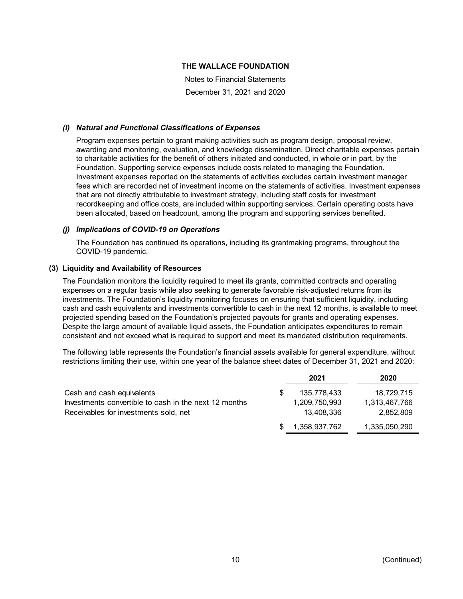Notes to Financial Statements December 31, 2021 and 2020

#### *(i) Natural and Functional Classifications of Expenses*

Program expenses pertain to grant making activities such as program design, proposal review, awarding and monitoring, evaluation, and knowledge dissemination. Direct charitable expenses pertain to charitable activities for the benefit of others initiated and conducted, in whole or in part, by the Foundation. Supporting service expenses include costs related to managing the Foundation. Investment expenses reported on the statements of activities excludes certain investment manager fees which are recorded net of investment income on the statements of activities. Investment expenses that are not directly attributable to investment strategy, including staff costs for investment recordkeeping and office costs, are included within supporting services. Certain operating costs have been allocated, based on headcount, among the program and supporting services benefited.

## *(j) Implications of COVID-19 on Operations*

The Foundation has continued its operations, including its grantmaking programs, throughout the COVID-19 pandemic.

## **(3) Liquidity and Availability of Resources**

The Foundation monitors the liquidity required to meet its grants, committed contracts and operating expenses on a regular basis while also seeking to generate favorable risk-adjusted returns from its investments. The Foundation's liquidity monitoring focuses on ensuring that sufficient liquidity, including cash and cash equivalents and investments convertible to cash in the next 12 months, is available to meet projected spending based on the Foundation's projected payouts for grants and operating expenses. Despite the large amount of available liquid assets, the Foundation anticipates expenditures to remain consistent and not exceed what is required to support and meet its mandated distribution requirements.

The following table represents the Foundation's financial assets available for general expenditure, without restrictions limiting their use, within one year of the balance sheet dates of December 31, 2021 and 2020:

|                                                       | 2021          | 2020          |
|-------------------------------------------------------|---------------|---------------|
| Cash and cash equivalents                             | 135.778.433   | 18.729.715    |
| Investments convertible to cash in the next 12 months | 1.209.750.993 | 1,313,467,766 |
| Receivables for investments sold, net                 | 13,408,336    | 2,852,809     |
|                                                       | 1,358,937,762 | 1,335,050,290 |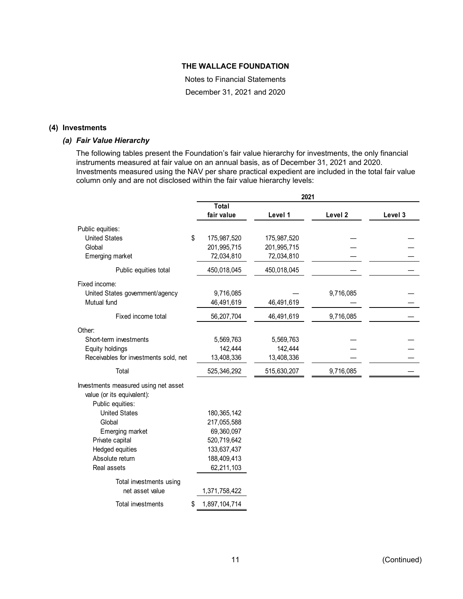Notes to Financial Statements

December 31, 2021 and 2020

#### **(4) Investments**

#### *(a) Fair Value Hierarchy*

The following tables present the Foundation's fair value hierarchy for investments, the only financial instruments measured at fair value on an annual basis, as of December 31, 2021 and 2020. Investments measured using the NAV per share practical expedient are included in the total fair value column only and are not disclosed within the fair value hierarchy levels:

|                                                                                        |       | 2021          |             |  |                    |  |         |
|----------------------------------------------------------------------------------------|-------|---------------|-------------|--|--------------------|--|---------|
|                                                                                        | Total |               |             |  |                    |  |         |
|                                                                                        |       | fair value    | Level 1     |  | Level <sub>2</sub> |  | Level 3 |
| Public equities:                                                                       |       |               |             |  |                    |  |         |
| <b>United States</b>                                                                   | \$    | 175,987,520   | 175,987,520 |  |                    |  |         |
| Global                                                                                 |       | 201,995,715   | 201,995,715 |  |                    |  |         |
| Emerging market                                                                        |       | 72,034,810    | 72,034,810  |  |                    |  |         |
| Public equities total                                                                  |       | 450,018,045   | 450,018,045 |  |                    |  |         |
| Fixed income:                                                                          |       |               |             |  |                    |  |         |
| United States government/agency                                                        |       | 9,716,085     |             |  | 9,716,085          |  |         |
| Mutual fund                                                                            |       | 46,491,619    | 46,491,619  |  |                    |  |         |
| Fixed income total                                                                     |       | 56,207,704    | 46,491,619  |  | 9,716,085          |  |         |
| Other:                                                                                 |       |               |             |  |                    |  |         |
| Short-term investments                                                                 |       | 5,569,763     | 5,569,763   |  |                    |  |         |
| Equity holdings                                                                        |       | 142,444       | 142,444     |  |                    |  |         |
| Receivables for investments sold, net                                                  |       | 13,408,336    | 13,408,336  |  |                    |  |         |
| Total                                                                                  |       | 525,346,292   | 515,630,207 |  | 9,716,085          |  |         |
| Investments measured using net asset<br>value (or its equivalent):<br>Public equities: |       |               |             |  |                    |  |         |
| <b>United States</b>                                                                   |       | 180,365,142   |             |  |                    |  |         |
| Global                                                                                 |       | 217,055,588   |             |  |                    |  |         |
| Emerging market                                                                        |       | 69,360,097    |             |  |                    |  |         |
| Private capital                                                                        |       | 520,719,642   |             |  |                    |  |         |
| Hedged equities                                                                        |       | 133,637,437   |             |  |                    |  |         |
| Absolute return                                                                        |       | 188,409,413   |             |  |                    |  |         |
| Real assets                                                                            |       | 62,211,103    |             |  |                    |  |         |
| Total investments using<br>net asset value                                             |       | 1,371,758,422 |             |  |                    |  |         |
| Total investments                                                                      | \$    | 1,897,104,714 |             |  |                    |  |         |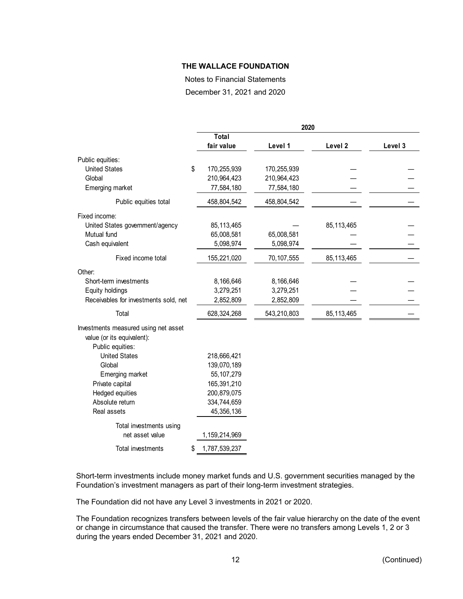Notes to Financial Statements

December 31, 2021 and 2020

|                                                                                        |                     | 2020        |              |         |  |
|----------------------------------------------------------------------------------------|---------------------|-------------|--------------|---------|--|
|                                                                                        | <b>Total</b>        |             |              |         |  |
|                                                                                        | fair value          | Level 1     | Level 2      | Level 3 |  |
| Public equities:                                                                       |                     |             |              |         |  |
| <b>United States</b>                                                                   | \$<br>170,255,939   | 170,255,939 |              |         |  |
| Global                                                                                 | 210,964,423         | 210,964,423 |              |         |  |
| Emerging market                                                                        | 77,584,180          | 77,584,180  |              |         |  |
| Public equities total                                                                  | 458,804,542         | 458,804,542 |              |         |  |
| Fixed income:                                                                          |                     |             |              |         |  |
| United States government/agency                                                        | 85, 113, 465        |             | 85, 113, 465 |         |  |
| Mutual fund                                                                            | 65,008,581          | 65,008,581  |              |         |  |
| Cash equivalent                                                                        | 5,098,974           | 5,098,974   |              |         |  |
| Fixed income total                                                                     | 155,221,020         | 70,107,555  | 85,113,465   |         |  |
| Other:                                                                                 |                     |             |              |         |  |
| Short-term investments                                                                 | 8,166,646           | 8,166,646   |              |         |  |
| Equity holdings                                                                        | 3,279,251           | 3,279,251   |              |         |  |
| Receivables for investments sold, net                                                  | 2,852,809           | 2,852,809   |              |         |  |
| Total                                                                                  | 628,324,268         | 543,210,803 | 85, 113, 465 |         |  |
| Investments measured using net asset<br>value (or its equivalent):<br>Public equities: |                     |             |              |         |  |
| <b>United States</b>                                                                   | 218,666,421         |             |              |         |  |
| Global                                                                                 | 139,070,189         |             |              |         |  |
| Emerging market                                                                        | 55, 107, 279        |             |              |         |  |
| Private capital                                                                        | 165,391,210         |             |              |         |  |
| Hedged equities                                                                        | 200,879,075         |             |              |         |  |
| Absolute return                                                                        | 334,744,659         |             |              |         |  |
| Real assets                                                                            | 45,356,136          |             |              |         |  |
| Total investments using<br>net asset value                                             | 1,159,214,969       |             |              |         |  |
| <b>Total investments</b>                                                               | 1,787,539,237<br>\$ |             |              |         |  |

Short-term investments include money market funds and U.S. government securities managed by the Foundation's investment managers as part of their long-term investment strategies.

The Foundation did not have any Level 3 investments in 2021 or 2020.

The Foundation recognizes transfers between levels of the fair value hierarchy on the date of the event or change in circumstance that caused the transfer. There were no transfers among Levels 1, 2 or 3 during the years ended December 31, 2021 and 2020.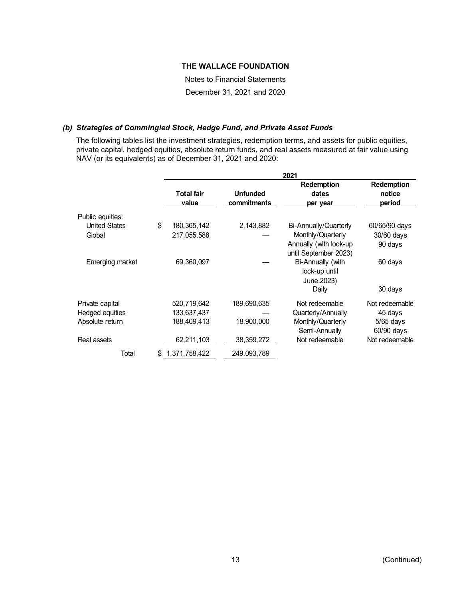Notes to Financial Statements

December 31, 2021 and 2020

#### *(b) Strategies of Commingled Stock, Hedge Fund, and Private Asset Funds*

The following tables list the investment strategies, redemption terms, and assets for public equities, private capital, hedged equities, absolute return funds, and real assets measured at fair value using NAV (or its equivalents) as of December 31, 2021 and 2020:

|                      |                            |                                | 2021                                             |                                |
|----------------------|----------------------------|--------------------------------|--------------------------------------------------|--------------------------------|
|                      | <b>Total fair</b><br>value | <b>Unfunded</b><br>commitments | Redemption<br>dates<br>per year                  | Redemption<br>notice<br>period |
| Public equities:     |                            |                                |                                                  |                                |
| <b>United States</b> | \$<br>180, 365, 142        | 2,143,882                      | Bi-Annually/Quarterly                            | 60/65/90 days                  |
| Global               | 217,055,588                |                                | Monthly/Quarterly                                | 30/60 days                     |
|                      |                            |                                | Annually (with lock-up<br>until September 2023)  | 90 days                        |
| Emerging market      | 69,360,097                 |                                | Bi-Annually (with<br>lock-up until<br>June 2023) | 60 days                        |
|                      |                            |                                | Daily                                            | 30 days                        |
| Private capital      | 520,719,642                | 189,690,635                    | Not redeemable                                   | Not redeemable                 |
| Hedged equities      | 133,637,437                |                                | Quarterly/Annually                               | 45 days                        |
| Absolute return      | 188,409,413                | 18,900,000                     | Monthly/Quarterly<br>Semi-Annually               | $5/65$ days<br>60/90 days      |
| Real assets          | 62,211,103                 | 38, 359, 272                   | Not redeemable                                   | Not redeemable                 |
| Total                | \$<br>1,371,758,422        | 249,093,789                    |                                                  |                                |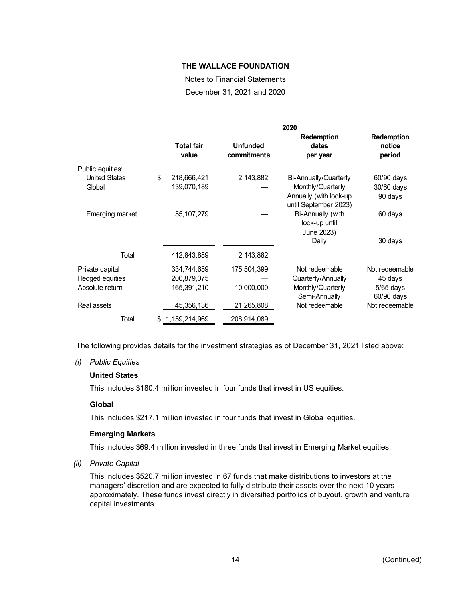Notes to Financial Statements

December 31, 2021 and 2020

|                      | 2020                       |                                |                                                  |                                |  |  |
|----------------------|----------------------------|--------------------------------|--------------------------------------------------|--------------------------------|--|--|
|                      | <b>Total fair</b><br>value | <b>Unfunded</b><br>commitments | <b>Redemption</b><br>dates<br>per year           | Redemption<br>notice<br>period |  |  |
| Public equities:     |                            |                                |                                                  |                                |  |  |
| <b>United States</b> | \$<br>218,666,421          | 2,143,882                      | Bi-Annually/Quarterly                            | 60/90 days                     |  |  |
| Global               | 139,070,189                |                                | Monthly/Quarterly                                | 30/60 days                     |  |  |
|                      |                            |                                | Annually (with lock-up<br>until September 2023)  | 90 days                        |  |  |
| Emerging market      | 55, 107, 279               |                                | Bi-Annually (with<br>lock-up until<br>June 2023) | 60 days                        |  |  |
|                      |                            |                                | Daily                                            | 30 days                        |  |  |
| Total                | 412,843,889                | 2,143,882                      |                                                  |                                |  |  |
| Private capital      | 334,744,659                | 175,504,399                    | Not redeemable                                   | Not redeemable                 |  |  |
| Hedged equities      | 200,879,075                |                                | Quarterly/Annually                               | 45 days                        |  |  |
| Absolute return      | 165,391,210                | 10,000,000                     | Monthly/Quarterly<br>Semi-Annually               | $5/65$ days<br>60/90 days      |  |  |
| Real assets          | 45,356,136                 | 21,265,808                     | Not redeemable                                   | Not redeemable                 |  |  |
| Total                | \$<br>1,159,214,969        | 208,914,089                    |                                                  |                                |  |  |

The following provides details for the investment strategies as of December 31, 2021 listed above:

#### *(i) Public Equities*

#### **United States**

This includes \$180.4 million invested in four funds that invest in US equities.

#### **Global**

This includes \$217.1 million invested in four funds that invest in Global equities.

#### **Emerging Markets**

This includes \$69.4 million invested in three funds that invest in Emerging Market equities.

*(ii) Private Capital*

This includes \$520.7 million invested in 67 funds that make distributions to investors at the managers' discretion and are expected to fully distribute their assets over the next 10 years approximately. These funds invest directly in diversified portfolios of buyout, growth and venture capital investments.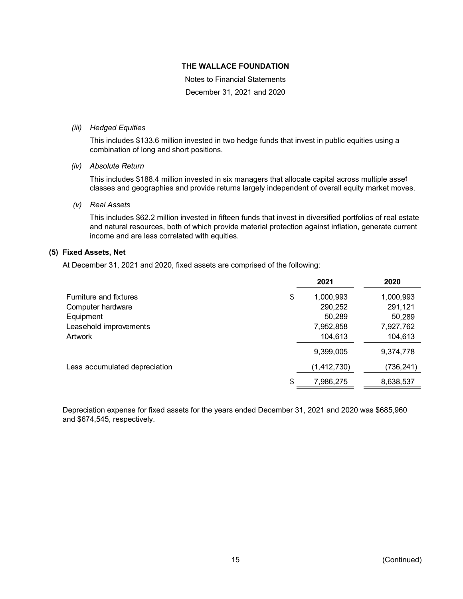Notes to Financial Statements

December 31, 2021 and 2020

#### *(iii) Hedged Equities*

This includes \$133.6 million invested in two hedge funds that invest in public equities using a combination of long and short positions.

# *(iv) Absolute Return*

This includes \$188.4 million invested in six managers that allocate capital across multiple asset classes and geographies and provide returns largely independent of overall equity market moves.

### *(v) Real Assets*

This includes \$62.2 million invested in fifteen funds that invest in diversified portfolios of real estate and natural resources, both of which provide material protection against inflation, generate current income and are less correlated with equities.

#### **(5) Fixed Assets, Net**

At December 31, 2021 and 2020, fixed assets are comprised of the following:

|                               | 2021            | 2020      |
|-------------------------------|-----------------|-----------|
| <b>Furniture and fixtures</b> | \$<br>1,000,993 | 1,000,993 |
| Computer hardware             | 290,252         | 291,121   |
| Equipment                     | 50,289          | 50,289    |
| Leasehold improvements        | 7,952,858       | 7,927,762 |
| Artwork                       | 104,613         | 104,613   |
|                               | 9,399,005       | 9,374,778 |
| Less accumulated depreciation | (1, 412, 730)   | (736,241) |
|                               | \$<br>7,986,275 | 8,638,537 |

Depreciation expense for fixed assets for the years ended December 31, 2021 and 2020 was \$685,960 and \$674,545, respectively.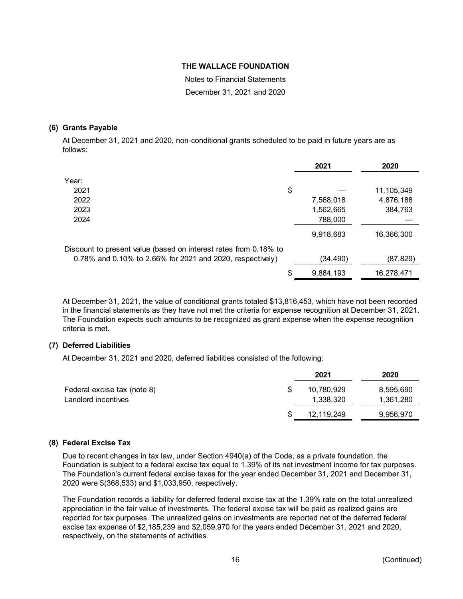Notes to Financial Statements

December 31, 2021 and 2020

#### **(6) Grants Payable**

At December 31, 2021 and 2020, non-conditional grants scheduled to be paid in future years are as follows:

|                                                                  |    | 2021      | 2020         |
|------------------------------------------------------------------|----|-----------|--------------|
| Year:                                                            |    |           |              |
| 2021                                                             | \$ |           | 11, 105, 349 |
| 2022                                                             |    | 7,568,018 | 4,876,188    |
| 2023                                                             |    | 1,562,665 | 384,763      |
| 2024                                                             |    | 788,000   |              |
|                                                                  |    | 9,918,683 | 16,366,300   |
| Discount to present value (based on interest rates from 0.18% to |    |           |              |
| 0.78% and 0.10% to 2.66% for 2021 and 2020, respectively)        |    | (34,490)  | (87, 829)    |
|                                                                  | S  | 9,884,193 | 16,278,471   |
|                                                                  |    |           |              |

At December 31, 2021, the value of conditional grants totaled \$13,816,453, which have not been recorded in the financial statements as they have not met the criteria for expense recognition at December 31, 2021. The Foundation expects such amounts to be recognized as grant expense when the expense recognition criteria is met.

#### **(7) Deferred Liabilities**

At December 31, 2021 and 2020, deferred liabilities consisted of the following:

|                             | 2021       | 2020      |
|-----------------------------|------------|-----------|
| Federal excise tax (note 8) | 10,780,929 | 8,595,690 |
| Landlord incentives         | 1,338,320  | 1,361,280 |
|                             | 12,119,249 | 9,956,970 |

# **(8) Federal Excise Tax**

Due to recent changes in tax law, under Section 4940(a) of the Code, as a private foundation, the Foundation is subject to a federal excise tax equal to 1.39% of its net investment income for tax purposes. The Foundation's current federal excise taxes for the year ended December 31, 2021 and December 31, 2020 were \$(368,533) and \$1,033,950, respectively.

The Foundation records a liability for deferred federal excise tax at the 1.39% rate on the total unrealized appreciation in the fair value of investments. The federal excise tax will be paid as realized gains are reported for tax purposes. The unrealized gains on investments are reported net of the deferred federal excise tax expense of \$2,185,239 and \$2,059,970 for the years ended December 31, 2021 and 2020, respectively, on the statements of activities.